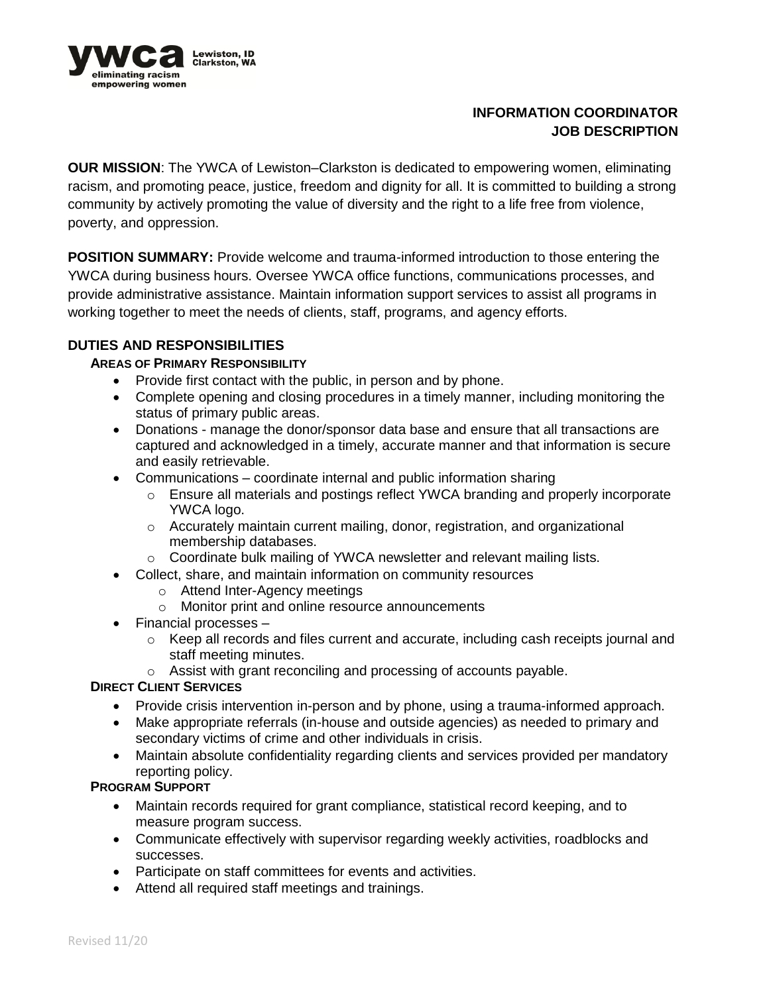

# **INFORMATION COORDINATOR JOB DESCRIPTION**

**OUR MISSION**: The YWCA of Lewiston–Clarkston is dedicated to empowering women, eliminating racism, and promoting peace, justice, freedom and dignity for all. It is committed to building a strong community by actively promoting the value of diversity and the right to a life free from violence, poverty, and oppression.

**POSITION SUMMARY:** Provide welcome and trauma-informed introduction to those entering the YWCA during business hours. Oversee YWCA office functions, communications processes, and provide administrative assistance. Maintain information support services to assist all programs in working together to meet the needs of clients, staff, programs, and agency efforts.

## **DUTIES AND RESPONSIBILITIES**

## **AREAS OF PRIMARY RESPONSIBILITY**

- Provide first contact with the public, in person and by phone.
- Complete opening and closing procedures in a timely manner, including monitoring the status of primary public areas.
- Donations manage the donor/sponsor data base and ensure that all transactions are captured and acknowledged in a timely, accurate manner and that information is secure and easily retrievable.
- Communications coordinate internal and public information sharing
	- o Ensure all materials and postings reflect YWCA branding and properly incorporate YWCA logo.
	- $\circ$  Accurately maintain current mailing, donor, registration, and organizational membership databases.
	- o Coordinate bulk mailing of YWCA newsletter and relevant mailing lists.
- Collect, share, and maintain information on community resources
	- o Attend Inter-Agency meetings
	- o Monitor print and online resource announcements
- Financial processes
	- $\circ$  Keep all records and files current and accurate, including cash receipts journal and staff meeting minutes.
	- o Assist with grant reconciling and processing of accounts payable.

#### **DIRECT CLIENT SERVICES**

- Provide crisis intervention in-person and by phone, using a trauma-informed approach.
- Make appropriate referrals (in-house and outside agencies) as needed to primary and secondary victims of crime and other individuals in crisis.
- Maintain absolute confidentiality regarding clients and services provided per mandatory reporting policy.

#### **PROGRAM SUPPORT**

- Maintain records required for grant compliance, statistical record keeping, and to measure program success.
- Communicate effectively with supervisor regarding weekly activities, roadblocks and successes.
- Participate on staff committees for events and activities.
- Attend all required staff meetings and trainings.